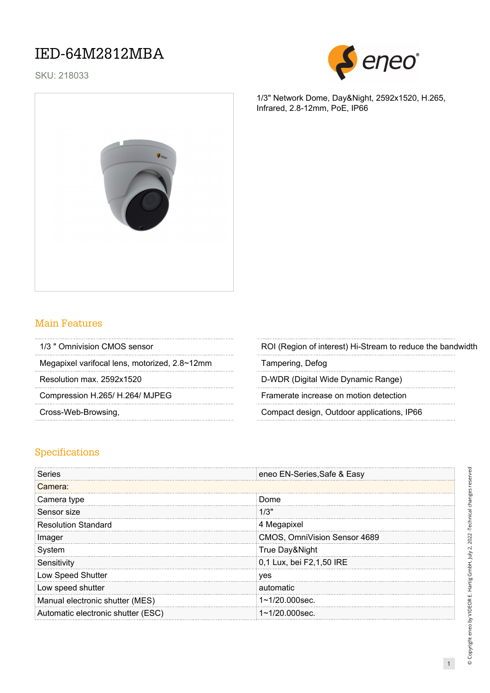SKU: 218033



1/3" Network Dome, Day&Night, 2592x1520, H.265, Infrared, 2.8-12mm, PoE, IP66



#### Main Features

| 1/3 " Omnivision CMOS sensor |  |
|------------------------------|--|
|                              |  |

Megapixel varifocal lens, motorized, 2.8~12mm Tampering, Defog

ROI (Region of interest) Hi-Stream to reduce the bandwidth

Resolution max. 2592x1520 **D-WDR** (Digital Wide Dynamic Range)

Compression H.265/ H.264/ MJPEG Framerate increase on motion detection

Cross-Web-Browsing, Compact design, Outdoor applications, IP66

#### Specifications

| Series                             | eneo EN-Series, Safe & Easy  |
|------------------------------------|------------------------------|
| Camera:                            |                              |
| Camera type                        | Dome                         |
| Sensor size                        | 1/3"                         |
| <b>Resolution Standard</b>         | 4 Megapixel                  |
| Imager                             | CMOS, OmniVision Sensor 4689 |
| System                             | True Day&Night               |
| Sensitivity                        | 0,1 Lux, bei F2,1,50 IRE     |
| Low Speed Shutter                  | ves                          |
| Low speed shutter                  | automatic                    |
| Manual electronic shutter (MES)    | $1 - 1/20.000$ sec.          |
| Automatic electronic shutter (ESC) | $1 - 1/20.000$ sec.          |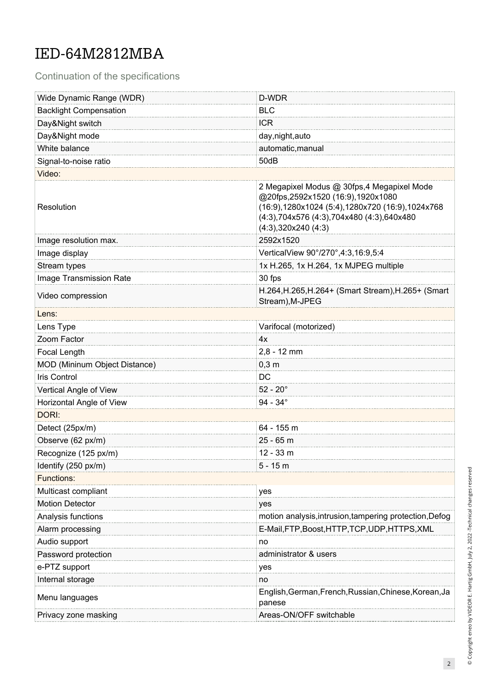Continuation of the specifications

| Wide Dynamic Range (WDR)      | D-WDR                                                                                                                                                                                                    |  |  |  |
|-------------------------------|----------------------------------------------------------------------------------------------------------------------------------------------------------------------------------------------------------|--|--|--|
| <b>Backlight Compensation</b> | <b>BLC</b>                                                                                                                                                                                               |  |  |  |
| Day&Night switch              | <b>ICR</b>                                                                                                                                                                                               |  |  |  |
| Day&Night mode                | day, night, auto                                                                                                                                                                                         |  |  |  |
| White balance                 | automatic, manual                                                                                                                                                                                        |  |  |  |
| Signal-to-noise ratio         | 50dB                                                                                                                                                                                                     |  |  |  |
| Video:                        |                                                                                                                                                                                                          |  |  |  |
| Resolution                    | 2 Megapixel Modus @ 30fps,4 Megapixel Mode<br>@20fps,2592x1520 (16:9),1920x1080<br>(16:9), 1280x1024 (5:4), 1280x720 (16:9), 1024x768<br>(4:3),704x576 (4:3),704x480 (4:3),640x480<br>(4:3),320x240(4:3) |  |  |  |
| Image resolution max.         | 2592x1520                                                                                                                                                                                                |  |  |  |
| Image display                 | VerticalView 90°/270°,4:3,16:9,5:4                                                                                                                                                                       |  |  |  |
| Stream types                  | 1x H.265, 1x H.264, 1x MJPEG multiple                                                                                                                                                                    |  |  |  |
| Image Transmission Rate       | 30 fps                                                                                                                                                                                                   |  |  |  |
| Video compression             | H.264, H.265, H.264+ (Smart Stream), H.265+ (Smart<br>Stream), M-JPEG                                                                                                                                    |  |  |  |
| Lens:                         |                                                                                                                                                                                                          |  |  |  |
| Lens Type                     | Varifocal (motorized)                                                                                                                                                                                    |  |  |  |
| Zoom Factor                   | 4x                                                                                                                                                                                                       |  |  |  |
| Focal Length                  | $2,8 - 12$ mm                                                                                                                                                                                            |  |  |  |
| MOD (Mininum Object Distance) | $0,3$ m                                                                                                                                                                                                  |  |  |  |
| Iris Control                  | DC                                                                                                                                                                                                       |  |  |  |
| Vertical Angle of View        | $52 - 20^{\circ}$                                                                                                                                                                                        |  |  |  |
| Horizontal Angle of View      | $94 - 34^{\circ}$                                                                                                                                                                                        |  |  |  |
| DORI:                         |                                                                                                                                                                                                          |  |  |  |
| Detect (25px/m)               | 64 - 155 m                                                                                                                                                                                               |  |  |  |
| Observe (62 px/m)             | 25 - 65 m                                                                                                                                                                                                |  |  |  |
| Recognize (125 px/m)          | $12 - 33$ m                                                                                                                                                                                              |  |  |  |
| Identify (250 px/m)           | $5 - 15m$                                                                                                                                                                                                |  |  |  |
| <b>Functions:</b>             |                                                                                                                                                                                                          |  |  |  |
| Multicast compliant           | yes                                                                                                                                                                                                      |  |  |  |
| <b>Motion Detector</b>        | yes                                                                                                                                                                                                      |  |  |  |
| Analysis functions            | motion analysis, intrusion, tampering protection, Defog                                                                                                                                                  |  |  |  |
| Alarm processing              | E-Mail,FTP,Boost,HTTP,TCP,UDP,HTTPS,XML                                                                                                                                                                  |  |  |  |
| Audio support                 | no                                                                                                                                                                                                       |  |  |  |
| Password protection           | administrator & users                                                                                                                                                                                    |  |  |  |
| e-PTZ support                 | yes                                                                                                                                                                                                      |  |  |  |
| Internal storage              | no                                                                                                                                                                                                       |  |  |  |
| Menu languages                | English, German, French, Russian, Chinese, Korean, Ja<br>panese                                                                                                                                          |  |  |  |
| Privacy zone masking          | Areas-ON/OFF switchable                                                                                                                                                                                  |  |  |  |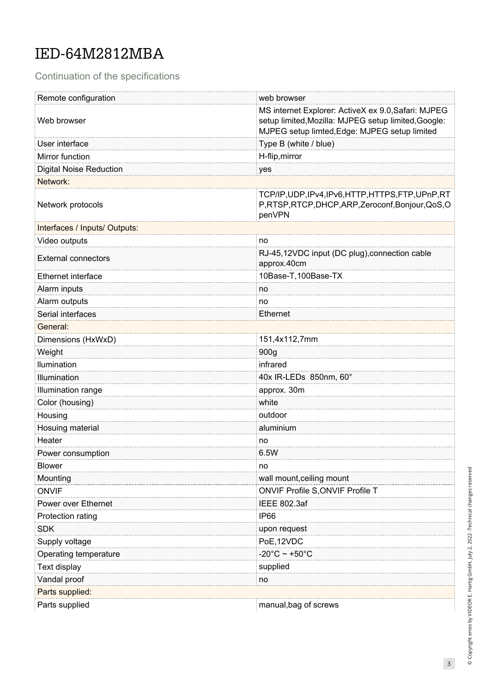Continuation of the specifications

| Remote configuration           | web browser                                                                                                                                                  |  |  |
|--------------------------------|--------------------------------------------------------------------------------------------------------------------------------------------------------------|--|--|
| Web browser                    | MS internet Explorer: ActiveX ex 9.0, Safari: MJPEG<br>setup limited, Mozilla: MJPEG setup limited, Google:<br>MJPEG setup limted, Edge: MJPEG setup limited |  |  |
| User interface                 | Type B (white / blue)                                                                                                                                        |  |  |
| Mirror function                | H-flip, mirror                                                                                                                                               |  |  |
| <b>Digital Noise Reduction</b> | yes                                                                                                                                                          |  |  |
| Network:                       |                                                                                                                                                              |  |  |
| Network protocols              | TCP/IP, UDP, IPv4, IPv6, HTTP, HTTPS, FTP, UPnP, RT<br>P,RTSP,RTCP,DHCP,ARP,Zeroconf,Bonjour,QoS,O<br>penVPN                                                 |  |  |
| Interfaces / Inputs/ Outputs:  |                                                                                                                                                              |  |  |
| Video outputs                  | no                                                                                                                                                           |  |  |
| <b>External connectors</b>     | RJ-45,12VDC input (DC plug), connection cable<br>approx.40cm                                                                                                 |  |  |
| <b>Ethernet interface</b>      | 10Base-T,100Base-TX                                                                                                                                          |  |  |
| Alarm inputs                   | no                                                                                                                                                           |  |  |
| Alarm outputs                  | no                                                                                                                                                           |  |  |
| Serial interfaces              | <b>Ethernet</b>                                                                                                                                              |  |  |
| General:                       |                                                                                                                                                              |  |  |
| Dimensions (HxWxD)             | 151,4x112,7mm                                                                                                                                                |  |  |
| Weight                         | 900g                                                                                                                                                         |  |  |
| Ilumination                    | infrared                                                                                                                                                     |  |  |
| Illumination                   | 40x IR-LEDs 850nm, 60°                                                                                                                                       |  |  |
| Illumination range             | approx. 30m                                                                                                                                                  |  |  |
| Color (housing)                | white                                                                                                                                                        |  |  |
| Housing                        | outdoor                                                                                                                                                      |  |  |
| Hosuing material               | aluminium                                                                                                                                                    |  |  |
| Heater                         | no                                                                                                                                                           |  |  |
| Power consumption              | 6.5W                                                                                                                                                         |  |  |
| <b>Blower</b>                  | no                                                                                                                                                           |  |  |
| Mounting                       | wall mount, ceiling mount                                                                                                                                    |  |  |
| <b>ONVIF</b>                   | ONVIF Profile S, ONVIF Profile T                                                                                                                             |  |  |
| Power over Ethernet            | <b>IEEE 802.3af</b>                                                                                                                                          |  |  |
| Protection rating              | IP <sub>66</sub>                                                                                                                                             |  |  |
| <b>SDK</b>                     | upon request                                                                                                                                                 |  |  |
| Supply voltage                 | PoE, 12VDC                                                                                                                                                   |  |  |
| Operating temperature          | $-20^{\circ}$ C ~ +50 $^{\circ}$ C                                                                                                                           |  |  |
| Text display                   | supplied                                                                                                                                                     |  |  |
| Vandal proof                   | no                                                                                                                                                           |  |  |
| Parts supplied:                |                                                                                                                                                              |  |  |
| Parts supplied                 | manual, bag of screws                                                                                                                                        |  |  |